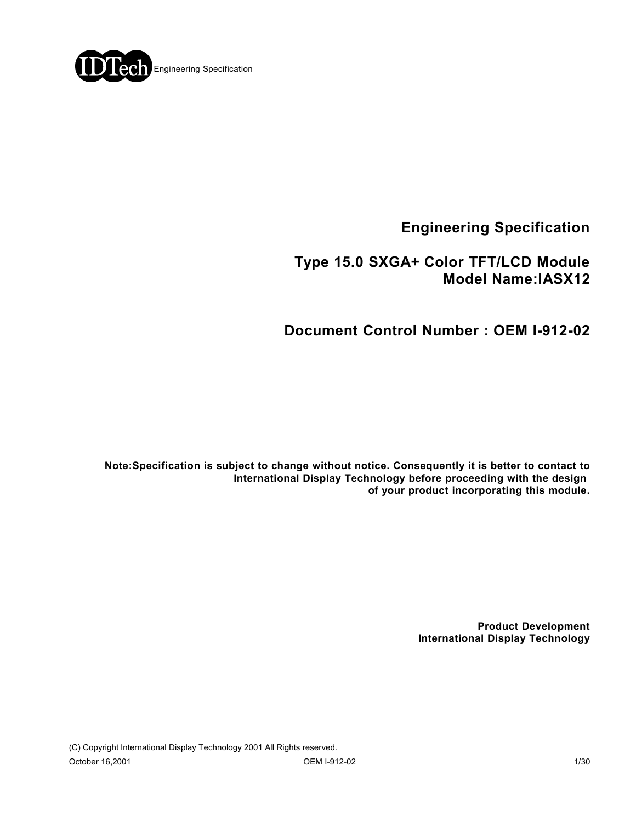

**Engineering Specification**

## **Type 15.0 SXGA+ Color TFT/LCD Module Model Name:IASX12**

# **Document Control Number : OEM I-912-02**

**Note:Specification is subject to change without notice. Consequently it is better to contact to International Display Technology before proceeding with the design of your product incorporating this module.**

> **Product Development International Display Technology**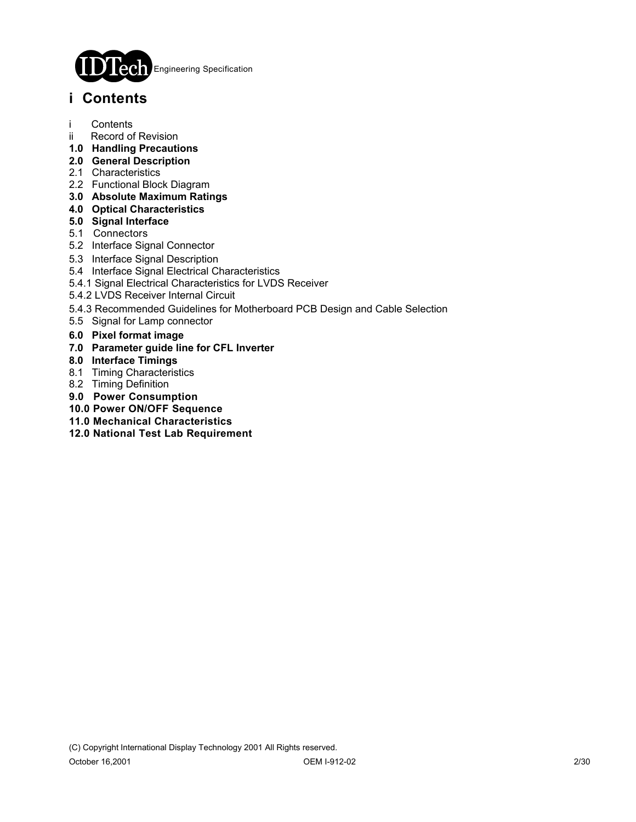

# **i Contents**

- i Contents
- ii Record of Revision
- **1.0 Handling Precautions**
- **2.0 General Description**
- 2.1 Characteristics
- 2.2 Functional Block Diagram
- **3.0 Absolute Maximum Ratings**
- **4.0 Optical Characteristics**
- **5.0 Signal Interface**
- 5.1 Connectors
- 5.2 Interface Signal Connector
- 5.3 Interface Signal Description
- 5.4 Interface Signal Electrical Characteristics
- 5.4.1 Signal Electrical Characteristics for LVDS Receiver
- 5.4.2 LVDS Receiver Internal Circuit
- 5.4.3 Recommended Guidelines for Motherboard PCB Design and Cable Selection
- 5.5 Signal for Lamp connector
- **6.0 Pixel format image**
- **7.0 Parameter guide line for CFL Inverter**
- **8.0 Interface Timings**
- 8.1 Timing Characteristics
- 8.2 Timing Definition
- **9.0 Power Consumption**
- **10.0 Power ON/OFF Sequence**
- **11.0 Mechanical Characteristics**
- **12.0 National Test Lab Requirement**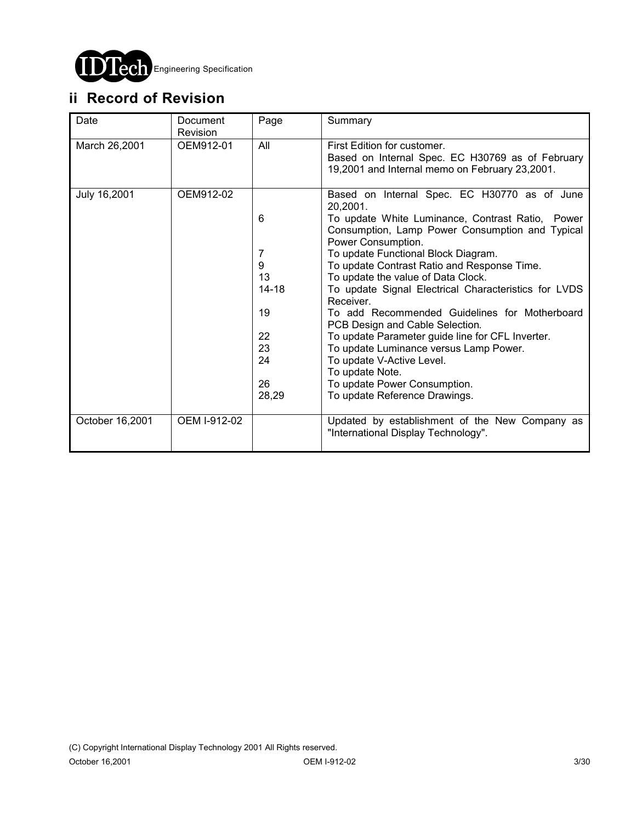

# **ii Record of Revision**

| Date            | Document<br>Revision | Page      | Summary                                                                                                                           |
|-----------------|----------------------|-----------|-----------------------------------------------------------------------------------------------------------------------------------|
| March 26,2001   | OEM912-01            | All       | First Edition for customer.<br>Based on Internal Spec. EC H30769 as of February<br>19,2001 and Internal memo on February 23,2001. |
| July 16,2001    | OEM912-02            |           | Based on Internal Spec. EC H30770 as of June<br>20,2001.                                                                          |
|                 |                      | 6         | To update White Luminance, Contrast Ratio, Power<br>Consumption, Lamp Power Consumption and Typical<br>Power Consumption.         |
|                 |                      | 7         | To update Functional Block Diagram.                                                                                               |
|                 |                      | 9         | To update Contrast Ratio and Response Time.                                                                                       |
|                 |                      | 13        | To update the value of Data Clock.                                                                                                |
|                 |                      | $14 - 18$ | To update Signal Electrical Characteristics for LVDS<br>Receiver.                                                                 |
|                 |                      | 19        | To add Recommended Guidelines for Motherboard<br>PCB Design and Cable Selection.                                                  |
|                 |                      | 22        | To update Parameter guide line for CFL Inverter.                                                                                  |
|                 |                      | 23        | To update Luminance versus Lamp Power.                                                                                            |
|                 |                      | 24        | To update V-Active Level.<br>To update Note.                                                                                      |
|                 |                      | 26        | To update Power Consumption.                                                                                                      |
|                 |                      | 28,29     | To update Reference Drawings.                                                                                                     |
| October 16,2001 | OEM I-912-02         |           | Updated by establishment of the New Company as<br>"International Display Technology".                                             |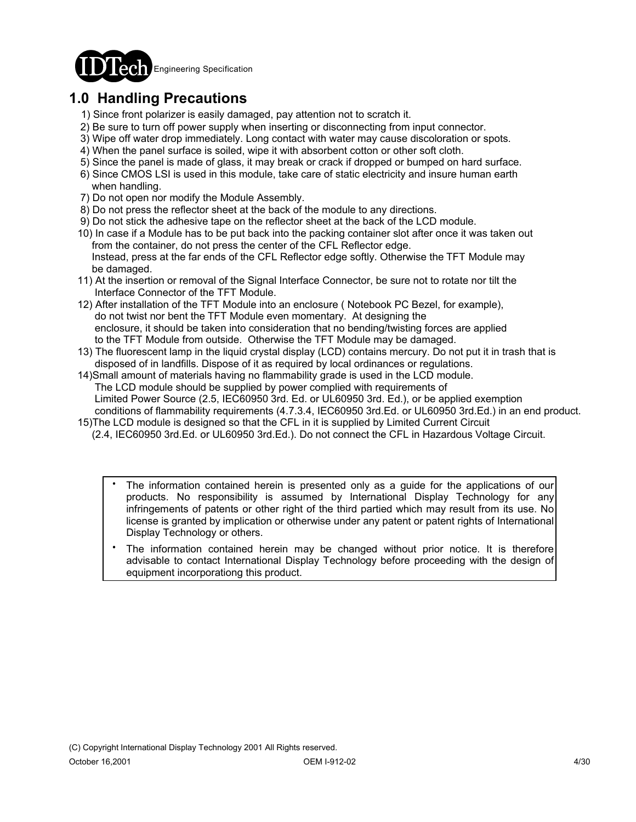

# **1.0 Handling Precautions**

- 1) Since front polarizer is easily damaged, pay attention not to scratch it.
- 2) Be sure to turn off power supply when inserting or disconnecting from input connector.
- 3) Wipe off water drop immediately. Long contact with water may cause discoloration or spots.
- 4) When the panel surface is soiled, wipe it with absorbent cotton or other soft cloth.
- 5) Since the panel is made of glass, it may break or crack if dropped or bumped on hard surface.
- 6) Since CMOS LSI is used in this module, take care of static electricity and insure human earth when handling.
- 7) Do not open nor modify the Module Assembly.
- 8) Do not press the reflector sheet at the back of the module to any directions.
- 9) Do not stick the adhesive tape on the reflector sheet at the back of the LCD module.
- 10) In case if a Module has to be put back into the packing container slot after once it was taken out from the container, do not press the center of the CFL Reflector edge. Instead, press at the far ends of the CFL Reflector edge softly. Otherwise the TFT Module may be damaged.
- 11) At the insertion or removal of the Signal Interface Connector, be sure not to rotate nor tilt the Interface Connector of the TFT Module.
- 12) After installation of the TFT Module into an enclosure ( Notebook PC Bezel, for example), do not twist nor bent the TFT Module even momentary. At designing the enclosure, it should be taken into consideration that no bending/twisting forces are applied to the TFT Module from outside. Otherwise the TFT Module may be damaged.
- 13) The fluorescent lamp in the liquid crystal display (LCD) contains mercury. Do not put it in trash that is disposed of in landfills. Dispose of it as required by local ordinances or regulations.
- 14)Small amount of materials having no flammability grade is used in the LCD module. The LCD module should be supplied by power complied with requirements of Limited Power Source (2.5, IEC60950 3rd. Ed. or UL60950 3rd. Ed.), or be applied exemption conditions of flammability requirements (4.7.3.4, IEC60950 3rd.Ed. or UL60950 3rd.Ed.) in an end product.
- 15)The LCD module is designed so that the CFL in it is supplied by Limited Current Circuit (2.4, IEC60950 3rd.Ed. or UL60950 3rd.Ed.). Do not connect the CFL in Hazardous Voltage Circuit.
	- The information contained herein is presented only as a guide for the applications of our products. No responsibility is assumed by International Display Technology for any infringements of patents or other right of the third partied which may result from its use. No license is granted by implication or otherwise under any patent or patent rights of International Display Technology or others. .
	- The information contained herein may be changed without prior notice. It is therefore advisable to contact International Display Technology before proceeding with the design of equipment incorporationg this product. .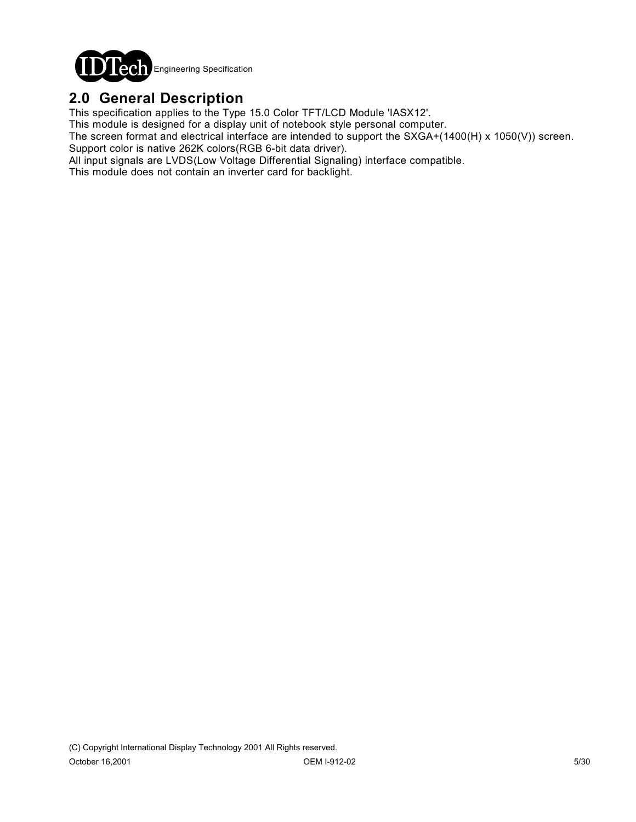

## **2.0 General Description**

This specification applies to the Type 15.0 Color TFT/LCD Module 'IASX12'.

This module is designed for a display unit of notebook style personal computer.

The screen format and electrical interface are intended to support the SXGA+(1400(H) x 1050(V)) screen. Support color is native 262K colors(RGB 6-bit data driver).

All input signals are LVDS(Low Voltage Differential Signaling) interface compatible.

This module does not contain an inverter card for backlight.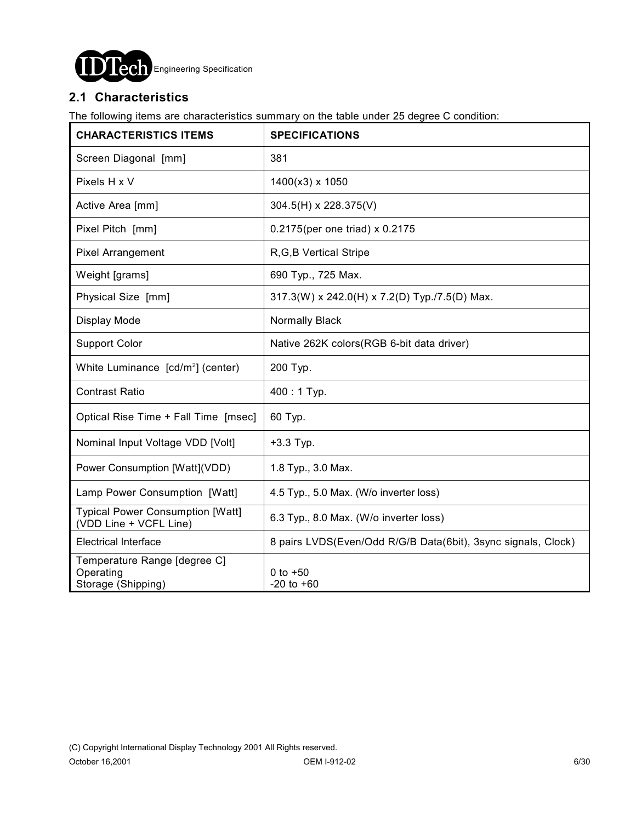

### **2.1 Characteristics**

The following items are characteristics summary on the table under 25 degree C condition:

| <b>CHARACTERISTICS ITEMS</b>                                      | <b>SPECIFICATIONS</b>                                         |
|-------------------------------------------------------------------|---------------------------------------------------------------|
| Screen Diagonal [mm]                                              | 381                                                           |
| Pixels H x V                                                      | 1400(x3) x 1050                                               |
| Active Area [mm]                                                  | 304.5(H) x 228.375(V)                                         |
| Pixel Pitch [mm]                                                  | 0.2175(per one triad) x 0.2175                                |
| <b>Pixel Arrangement</b>                                          | R, G, B Vertical Stripe                                       |
| Weight [grams]                                                    | 690 Typ., 725 Max.                                            |
| Physical Size [mm]                                                | 317.3(W) x 242.0(H) x 7.2(D) Typ./7.5(D) Max.                 |
| Display Mode                                                      | Normally Black                                                |
| <b>Support Color</b>                                              | Native 262K colors (RGB 6-bit data driver)                    |
| White Luminance [cd/m <sup>2</sup> ] (center)                     | 200 Typ.                                                      |
| <b>Contrast Ratio</b>                                             | 400: 1 Typ.                                                   |
| Optical Rise Time + Fall Time [msec]                              | 60 Typ.                                                       |
| Nominal Input Voltage VDD [Volt]                                  | $+3.3$ Typ.                                                   |
| Power Consumption [Watt](VDD)                                     | 1.8 Typ., 3.0 Max.                                            |
| Lamp Power Consumption [Watt]                                     | 4.5 Typ., 5.0 Max. (W/o inverter loss)                        |
| <b>Typical Power Consumption [Watt]</b><br>(VDD Line + VCFL Line) | 6.3 Typ., 8.0 Max. (W/o inverter loss)                        |
| <b>Electrical Interface</b>                                       | 8 pairs LVDS(Even/Odd R/G/B Data(6bit), 3sync signals, Clock) |
| Temperature Range [degree C]<br>Operating<br>Storage (Shipping)   | 0 to $+50$<br>$-20$ to $+60$                                  |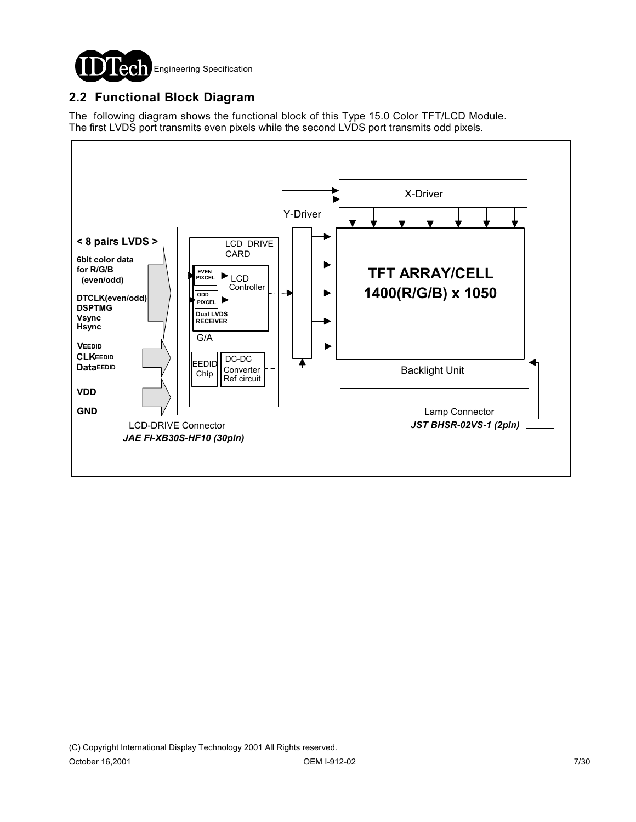

### **2.2 Functional Block Diagram**

The following diagram shows the functional block of this Type 15.0 Color TFT/LCD Module. The first LVDS port transmits even pixels while the second LVDS port transmits odd pixels.

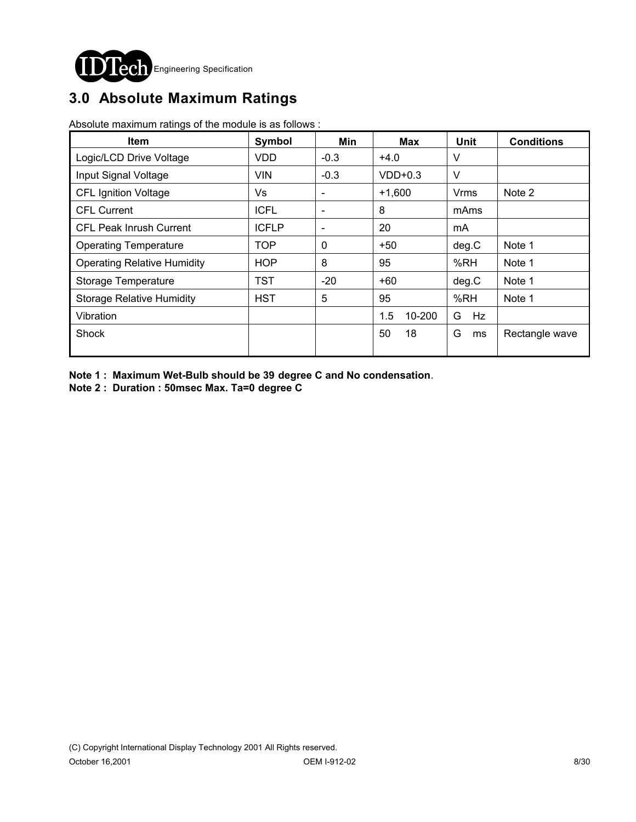

# **3.0 Absolute Maximum Ratings**

Absolute maximum ratings of the module is as follows :

| <b>Item</b>                        | Symbol       | Min                      | Max           | <b>Unit</b> | <b>Conditions</b> |
|------------------------------------|--------------|--------------------------|---------------|-------------|-------------------|
| Logic/LCD Drive Voltage            | <b>VDD</b>   | $-0.3$                   | $+4.0$        | V           |                   |
| Input Signal Voltage               | <b>VIN</b>   | $-0.3$                   | $VDD+0.3$     | $\vee$      |                   |
| <b>CFL Ignition Voltage</b>        | Vs           | $\overline{\phantom{a}}$ | $+1,600$      | Vrms        | Note 2            |
| <b>CFL Current</b>                 | <b>ICFL</b>  | $\overline{\phantom{a}}$ | 8             | mAms        |                   |
| <b>CFL Peak Inrush Current</b>     | <b>ICFLP</b> | $\overline{\phantom{a}}$ | 20            | mA          |                   |
| <b>Operating Temperature</b>       | <b>TOP</b>   | $\mathbf 0$              | $+50$         | deg.C       | Note 1            |
| <b>Operating Relative Humidity</b> | <b>HOP</b>   | 8                        | 95            | %RH         | Note 1            |
| Storage Temperature                | TST          | $-20$                    | +60           | deg.C       | Note 1            |
| <b>Storage Relative Humidity</b>   | <b>HST</b>   | 5                        | 95            | %RH         | Note 1            |
| Vibration                          |              |                          | 1.5<br>10-200 | G<br>Hz     |                   |
| <b>Shock</b>                       |              |                          | 50<br>18      | G<br>ms     | Rectangle wave    |

**Note 1 : Maximum Wet-Bulb should be 39 degree C and No condensation**.

**Note 2 : Duration : 50msec Max. Ta=0 degree C**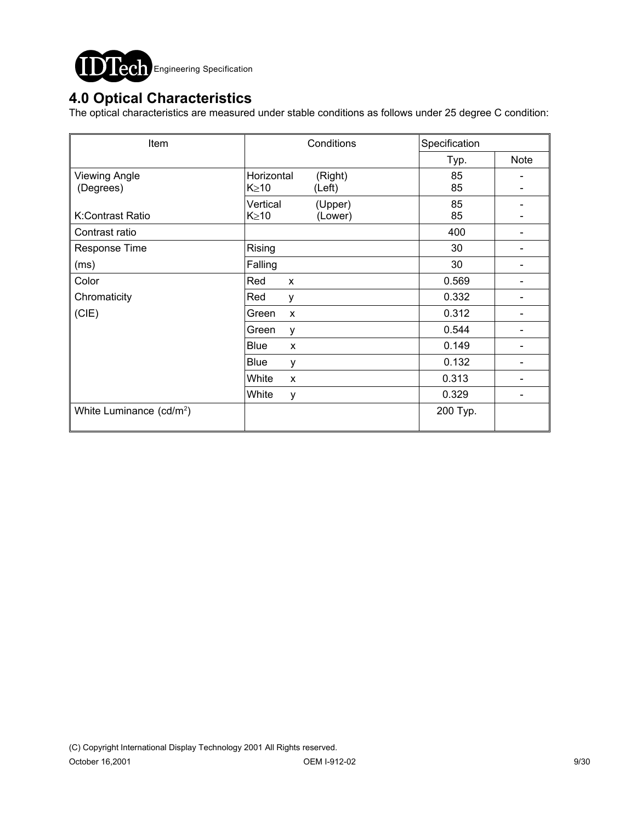

## **4.0 Optical Characteristics**

The optical characteristics are measured under stable conditions as follows under 25 degree C condition:

| Item                                 | Conditions                                     | Specification       |
|--------------------------------------|------------------------------------------------|---------------------|
|                                      |                                                | <b>Note</b><br>Typ. |
| <b>Viewing Angle</b><br>(Degrees)    | Horizontal<br>(Right)<br>$K \geq 10$<br>(Left) | 85<br>85            |
| K:Contrast Ratio                     | Vertical<br>(Upper)<br>$K \geq 10$<br>(Lower)  | 85<br>85            |
| Contrast ratio                       |                                                | 400                 |
| Response Time                        | Rising                                         | 30                  |
| (ms)                                 | Falling                                        | 30                  |
| Color                                | Red<br>X                                       | 0.569               |
| Chromaticity                         | Red<br>у                                       | 0.332               |
| (CIE)                                | Green<br>$\boldsymbol{\mathsf{x}}$             | 0.312               |
|                                      | Green<br>y                                     | 0.544               |
|                                      | <b>Blue</b><br>X                               | 0.149               |
|                                      | Blue<br>у                                      | 0.132               |
|                                      | White<br>X                                     | 0.313               |
|                                      | White<br>у                                     | 0.329               |
| White Luminance (cd/m <sup>2</sup> ) |                                                | 200 Typ.            |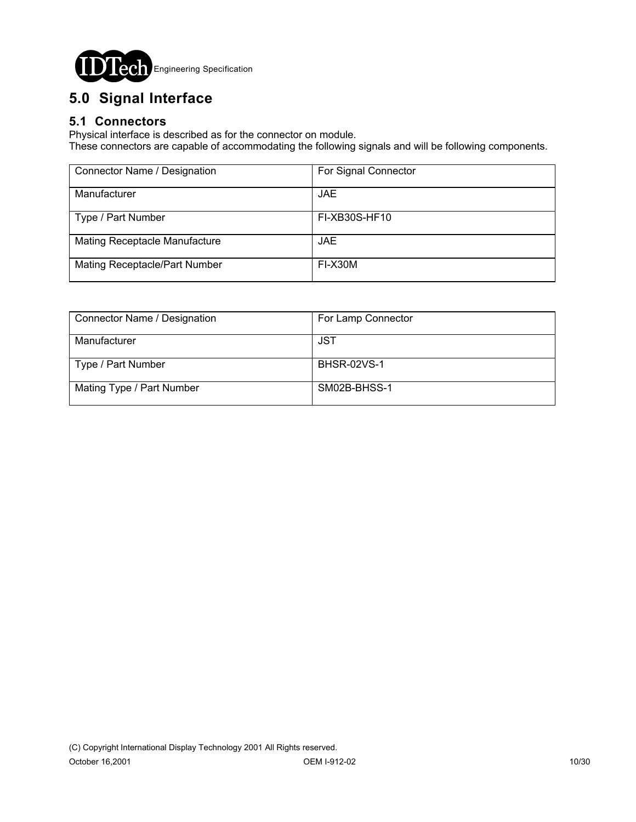

# **5.0 Signal Interface**

### **5.1 Connectors**

Physical interface is described as for the connector on module.

These connectors are capable of accommodating the following signals and will be following components.

| Connector Name / Designation  | For Signal Connector |
|-------------------------------|----------------------|
| Manufacturer                  | JAE.                 |
| Type / Part Number            | FI-XB30S-HF10        |
| Mating Receptacle Manufacture | JAE.                 |
| Mating Receptacle/Part Number | FI-X30M              |

| Connector Name / Designation | For Lamp Connector |
|------------------------------|--------------------|
| Manufacturer                 | JST                |
| Type / Part Number           | <b>BHSR-02VS-1</b> |
| Mating Type / Part Number    | SM02B-BHSS-1       |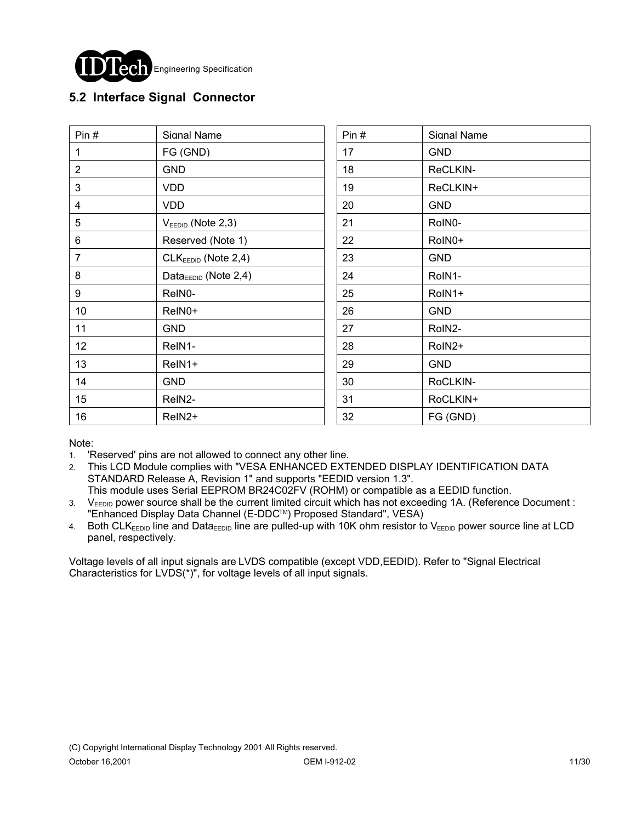

### **5.2 Interface Signal Connector**

| Pin $#$        | Signal Name                       | Pin# | Signal Name |
|----------------|-----------------------------------|------|-------------|
| 1              | FG (GND)                          | 17   | <b>GND</b>  |
| $\overline{2}$ | <b>GND</b>                        | 18   | ReCLKIN-    |
| 3              | <b>VDD</b>                        | 19   | ReCLKIN+    |
| 4              | <b>VDD</b>                        | 20   | <b>GND</b>  |
| 5              | $VEEDID$ (Note 2,3)               | 21   | RoIN0-      |
| 6              | Reserved (Note 1)                 | 22   | RoIN0+      |
| $\overline{7}$ | $CLKEEDID$ (Note 2,4)             | 23   | <b>GND</b>  |
| 8              | Data $_{\text{EEDID}}$ (Note 2,4) | 24   | RoIN1-      |
| 9              | ReIN0-                            | 25   | RoIN1+      |
| 10             | ReIN0+                            | 26   | <b>GND</b>  |
| 11             | <b>GND</b>                        | 27   | RoIN2-      |
| 12             | ReIN1-                            | 28   | RoIN2+      |
| 13             | ReIN1+                            | 29   | <b>GND</b>  |
| 14             | <b>GND</b>                        | 30   | RoCLKIN-    |
| 15             | ReIN2-                            | 31   | RoCLKIN+    |
| 16             | ReIN <sub>2</sub> +               | 32   | FG (GND)    |

Note:

- 1. 'Reserved' pins are not allowed to connect any other line.
- 2. This LCD Module complies with "VESA ENHANCED EXTENDED DISPLAY IDENTIFICATION DATA STANDARD Release A, Revision 1" and supports "EEDID version 1.3".
- This module uses Serial EEPROM BR24C02FV (ROHM) or compatible as a EEDID function. 3. VEEDID power source shall be the current limited circuit which has not exceeding 1A. (Reference Document : "Enhanced Display Data Channel (E-DDCTM) Proposed Standard", VESA)
- 4. Both CLKEEDID line and DataEEDID line are pulled-up with 10K ohm resistor to VEEDID power source line at LCD panel, respectively.

Voltage levels of all input signals are LVDS compatible (except VDD,EEDID). Refer to "Signal Electrical Characteristics for LVDS(\*)", for voltage levels of all input signals.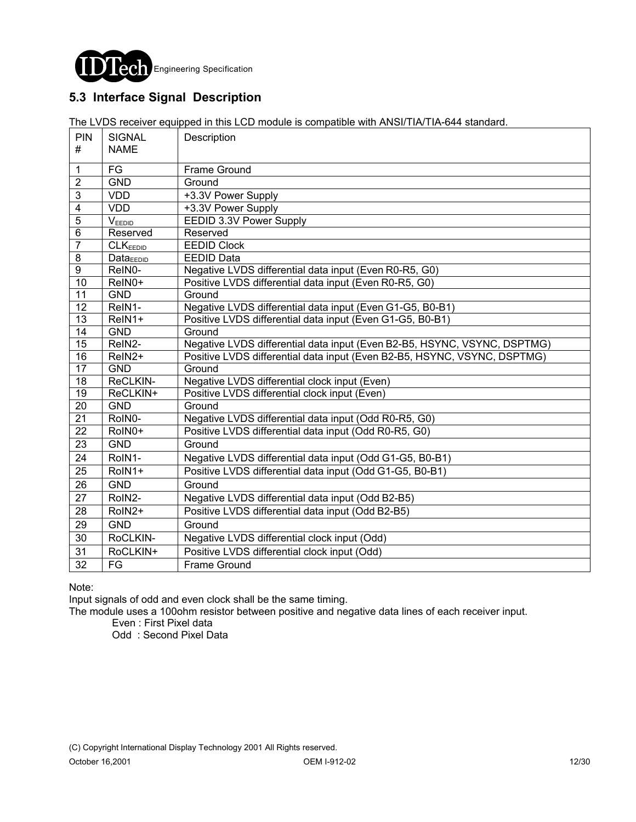

### **5.3 Interface Signal Description**

The LVDS receiver equipped in this LCD module is compatible with ANSI/TIA/TIA-644 standard.

| PIN<br>#                | <b>SIGNAL</b><br><b>NAME</b> | Description                                                              |
|-------------------------|------------------------------|--------------------------------------------------------------------------|
|                         |                              |                                                                          |
| $\mathbf{1}$            | FG                           | Frame Ground                                                             |
| $\overline{2}$          | <b>GND</b>                   | Ground                                                                   |
| $\mathbf{3}$            | <b>VDD</b>                   | +3.3V Power Supply                                                       |
| $\overline{\mathbf{4}}$ | <b>VDD</b>                   | +3.3V Power Supply                                                       |
| $\overline{5}$          | $V_{\text{EEDID}}$           | EEDID 3.3V Power Supply                                                  |
| $\overline{6}$          | Reserved                     | Reserved                                                                 |
| $\overline{7}$          | CLK <sub>EEDID</sub>         | <b>EEDID Clock</b>                                                       |
| $\bf 8$                 | <b>Data</b> <sub>EEDID</sub> | <b>EEDID Data</b>                                                        |
| $\overline{9}$          | ReIN0-                       | Negative LVDS differential data input (Even R0-R5, G0)                   |
| 10                      | ReIN0+                       | Positive LVDS differential data input (Even R0-R5, G0)                   |
| 11                      | <b>GND</b>                   | Ground                                                                   |
| 12                      | ReIN1-                       | Negative LVDS differential data input (Even G1-G5, B0-B1)                |
| $\overline{13}$         | ReIN1+                       | Positive LVDS differential data input (Even G1-G5, B0-B1)                |
| 14                      | <b>GND</b>                   | Ground                                                                   |
| 15                      | ReIN2-                       | Negative LVDS differential data input (Even B2-B5, HSYNC, VSYNC, DSPTMG) |
| $\overline{16}$         | ReIN <sub>2+</sub>           | Positive LVDS differential data input (Even B2-B5, HSYNC, VSYNC, DSPTMG) |
| $\overline{17}$         | <b>GND</b>                   | Ground                                                                   |
| $\overline{18}$         | ReCLKIN-                     | Negative LVDS differential clock input (Even)                            |
| $\overline{19}$         | ReCLKIN+                     | Positive LVDS differential clock input (Even)                            |
| $\overline{20}$         | <b>GND</b>                   | Ground                                                                   |
| $\overline{21}$         | RoIN0-                       | Negative LVDS differential data input (Odd R0-R5, G0)                    |
| $\overline{22}$         | RoIN0+                       | Positive LVDS differential data input (Odd R0-R5, G0)                    |
| 23                      | <b>GND</b>                   | Ground                                                                   |
| 24                      | RoIN1-                       | Negative LVDS differential data input (Odd G1-G5, B0-B1)                 |
| 25                      | RoIN1+                       | Positive LVDS differential data input (Odd G1-G5, B0-B1)                 |
| 26                      | <b>GND</b>                   | Ground                                                                   |
| 27                      | RoIN2-                       | Negative LVDS differential data input (Odd B2-B5)                        |
| 28                      | RoIN2+                       | Positive LVDS differential data input (Odd B2-B5)                        |
| 29                      | <b>GND</b>                   | Ground                                                                   |
| 30                      | RoCLKIN-                     | Negative LVDS differential clock input (Odd)                             |
| 31                      | RoCLKIN+                     | Positive LVDS differential clock input (Odd)                             |
| 32                      | FG                           | <b>Frame Ground</b>                                                      |

#### Note:

Input signals of odd and even clock shall be the same timing.

The module uses a 100ohm resistor between positive and negative data lines of each receiver input.

Even : First Pixel data

Odd : Second Pixel Data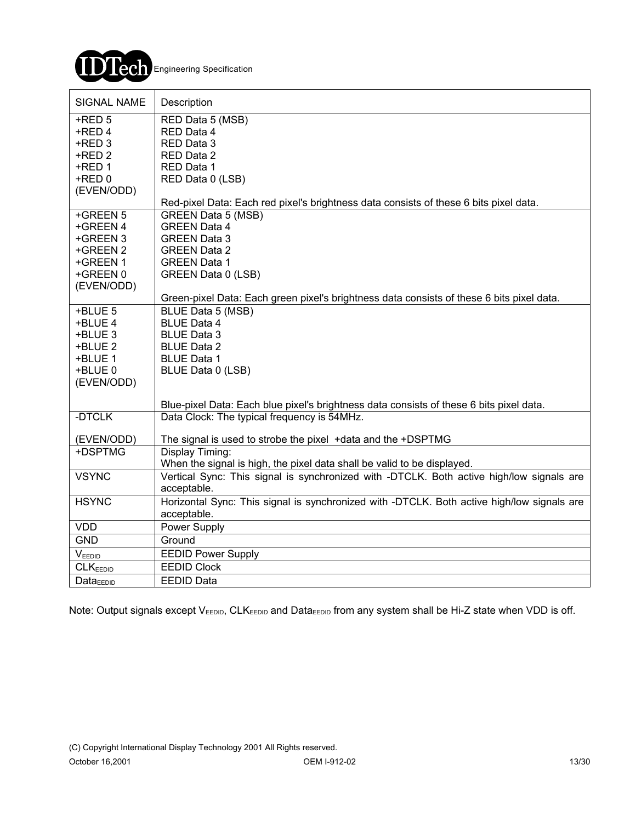

| <b>SIGNAL NAME</b>   | Description                                                                                |
|----------------------|--------------------------------------------------------------------------------------------|
| $+$ RED 5            | RED Data 5 (MSB)                                                                           |
| +RED 4               | RED Data 4                                                                                 |
| +RED 3               | RED Data 3                                                                                 |
| +RED 2               | RED Data 2                                                                                 |
| $+$ RED 1            | RED Data 1                                                                                 |
| +RED 0               | RED Data 0 (LSB)                                                                           |
| (EVEN/ODD)           |                                                                                            |
|                      | Red-pixel Data: Each red pixel's brightness data consists of these 6 bits pixel data.      |
| +GREEN 5             | <b>GREEN Data 5 (MSB)</b>                                                                  |
| +GREEN 4             | <b>GREEN Data 4</b>                                                                        |
| +GREEN 3             | <b>GREEN Data 3</b>                                                                        |
| +GREEN 2             | <b>GREEN Data 2</b>                                                                        |
| +GREEN 1             | <b>GREEN Data 1</b>                                                                        |
| +GREEN 0             | GREEN Data 0 (LSB)                                                                         |
| (EVEN/ODD)           |                                                                                            |
|                      | Green-pixel Data: Each green pixel's brightness data consists of these 6 bits pixel data.  |
| +BLUE 5              | BLUE Data 5 (MSB)                                                                          |
| +BLUE 4              | <b>BLUE Data 4</b>                                                                         |
| +BLUE 3              | <b>BLUE Data 3</b>                                                                         |
| +BLUE 2              | <b>BLUE Data 2</b>                                                                         |
| +BLUE 1              | <b>BLUE Data 1</b>                                                                         |
| +BLUE 0              | BLUE Data 0 (LSB)                                                                          |
| (EVEN/ODD)           |                                                                                            |
|                      | Blue-pixel Data: Each blue pixel's brightness data consists of these 6 bits pixel data.    |
| -DTCLK               | Data Clock: The typical frequency is 54MHz.                                                |
| (EVEN/ODD)           | The signal is used to strobe the pixel +data and the +DSPTMG                               |
| +DSPTMG              | Display Timing:                                                                            |
|                      | When the signal is high, the pixel data shall be valid to be displayed.                    |
| <b>VSYNC</b>         | Vertical Sync: This signal is synchronized with -DTCLK. Both active high/low signals are   |
|                      | acceptable.                                                                                |
| <b>HSYNC</b>         | Horizontal Sync: This signal is synchronized with -DTCLK. Both active high/low signals are |
|                      | acceptable.                                                                                |
| <b>VDD</b>           | Power Supply                                                                               |
| <b>GND</b>           | Ground                                                                                     |
| VEEDID               | <b>EEDID Power Supply</b>                                                                  |
| <b>CLKEEDID</b>      | <b>EEDID Clock</b>                                                                         |
| Data <sub>EDID</sub> | <b>EEDID Data</b>                                                                          |

Note: Output signals except  $V_{EEDID}$ , CLK<sub>EEDID</sub> and Data<sub>EEDID</sub> from any system shall be Hi-Z state when VDD is off.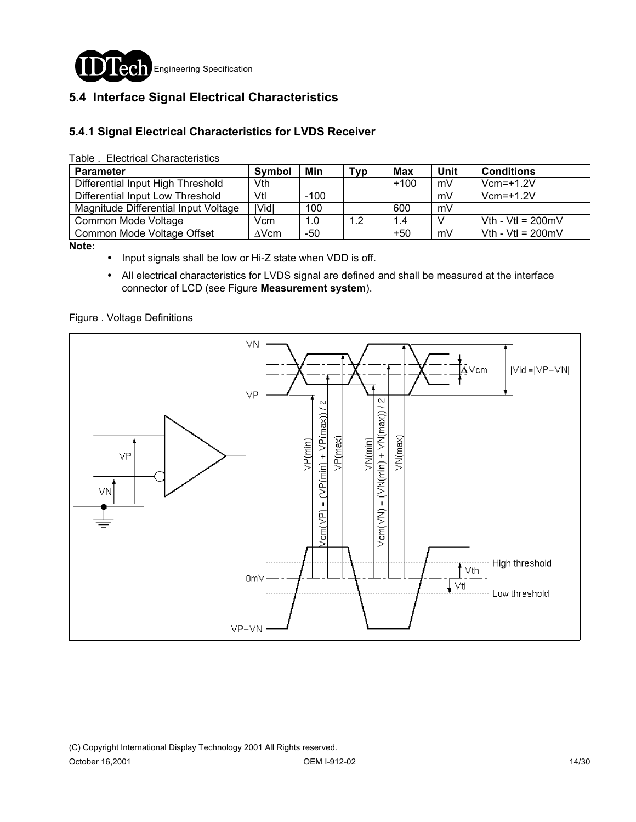

### **5.4 Interface Signal Electrical Characteristics**

#### **5.4.1 Signal Electrical Characteristics for LVDS Receiver**

Table . Electrical Characteristics

| <b>Parameter</b>                     | <b>Symbol</b> | Min    | Typ | Max    | Unit | <b>Conditions</b>           |
|--------------------------------------|---------------|--------|-----|--------|------|-----------------------------|
| Differential Input High Threshold    | Vth.          |        |     | $+100$ | mV   | $Vcm=+1.2V$                 |
| Differential Input Low Threshold     | Vtl           | $-100$ |     |        | mV   | $Vcm=+1.2V$                 |
| Magnitude Differential Input Voltage | Vid           | 100    |     | 600    | mV   |                             |
| Common Mode Voltage                  | Vcm           | 1.0    | 1.2 | 1.4    |      | Vth - Vtl = $200 \text{mV}$ |
| Common Mode Voltage Offset           | $\Delta$ Vcm  | $-50$  |     | +50    | mV   | Vth - Vtl = $200 \text{mV}$ |

**Note:** 

- ! Input signals shall be low or Hi-Z state when VDD is off.
- ! All electrical characteristics for LVDS signal are defined and shall be measured at the interface connector of LCD (see Figure **Measurement system**).

Figure . Voltage Definitions

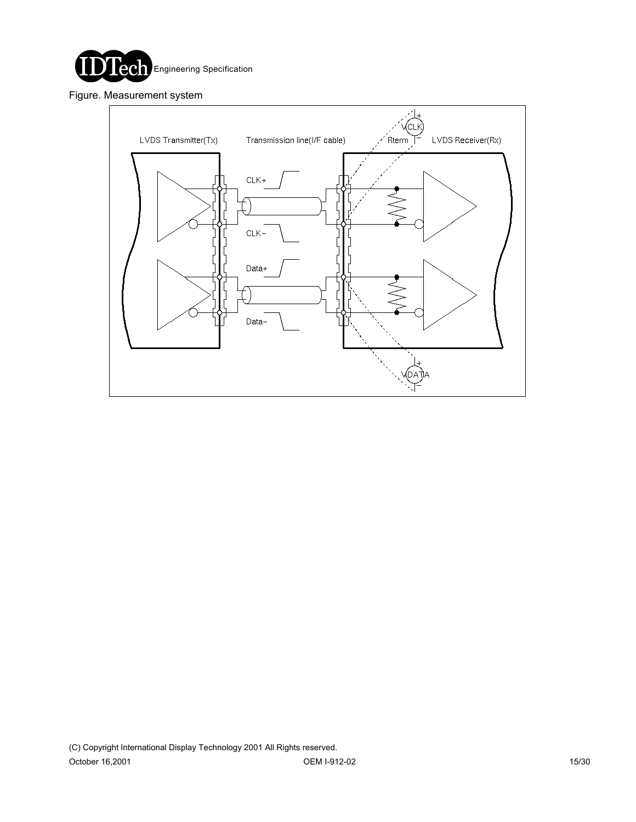

Figure. Measurement system

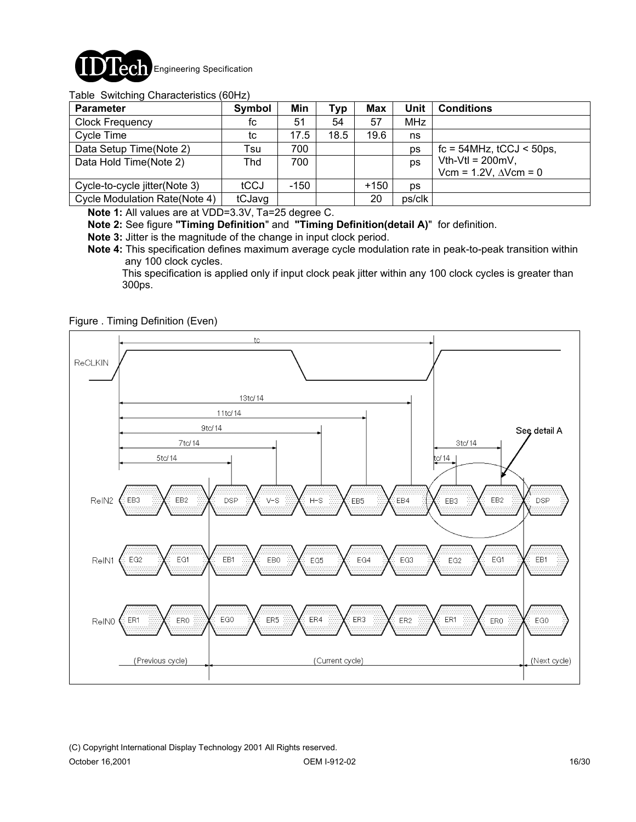

#### Table Switching Characteristics (60Hz)

| <b>Parameter</b>                     | Symbol | Min  | <b>Typ</b> | <b>Max</b> | Unit       | <b>Conditions</b>                   |
|--------------------------------------|--------|------|------------|------------|------------|-------------------------------------|
| <b>Clock Frequency</b>               | fc     | 51   | 54         | 57         | <b>MHz</b> |                                     |
| Cycle Time                           | tc     | 17.5 | 18.5       | 19.6       | ns         |                                     |
| Data Setup Time(Note 2)              | Tsu    | 700  |            |            | ps         | $fc = 54$ MHz, $tCCJ < 50$ ps,      |
| Data Hold Time(Note 2)               | Thd    | 700  |            |            | ps         | Vth-Vtl = $200mV$ ,                 |
|                                      |        |      |            |            |            | Vcm = $1.2V$ , $\triangle V$ cm = 0 |
| Cycle-to-cycle jitter(Note 3)        | tCCJ   | -150 |            | $+150$     | <b>DS</b>  |                                     |
| <b>Cycle Modulation Rate(Note 4)</b> | tCJavg |      |            | 20         | ps/clk     |                                     |

**Note 1:** All values are at VDD=3.3V, Ta=25 degree C.

**Note 2:** See figure **"Timing Definition**" and **"Timing Definition(detail A)**" for definition.

- **Note 3:** Jitter is the magnitude of the change in input clock period.
- **Note 4:** This specification defines maximum average cycle modulation rate in peak-to-peak transition within any 100 clock cycles.

 This specification is applied only if input clock peak jitter within any 100 clock cycles is greater than 300ps.

#### Figure . Timing Definition (Even)

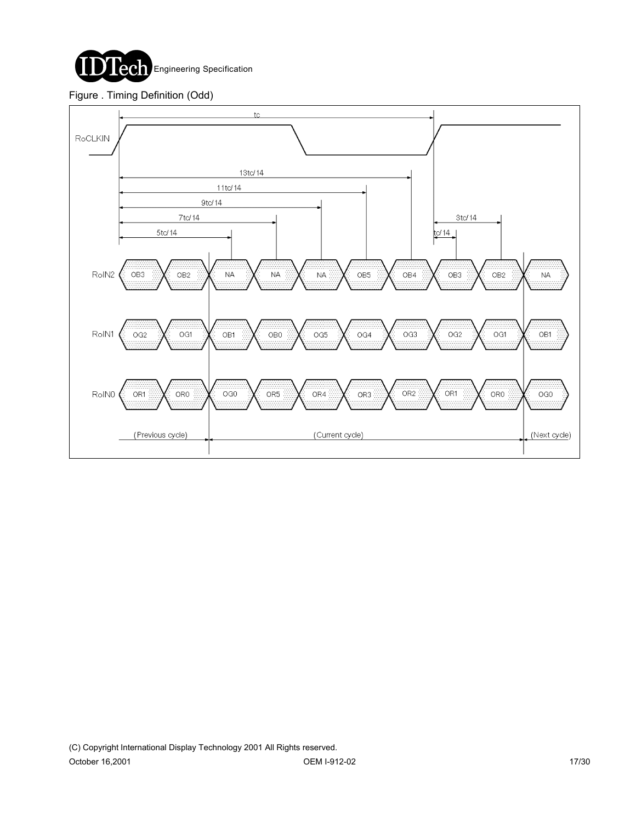

#### Figure . Timing Definition (Odd)

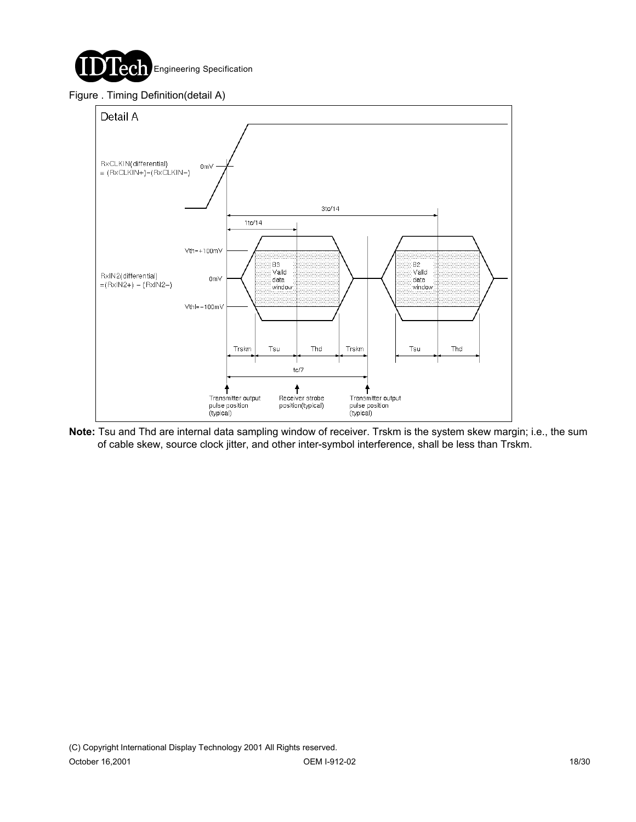

#### Figure . Timing Definition(detail A)



**Note:** Tsu and Thd are internal data sampling window of receiver. Trskm is the system skew margin; i.e., the sum of cable skew, source clock jitter, and other inter-symbol interference, shall be less than Trskm.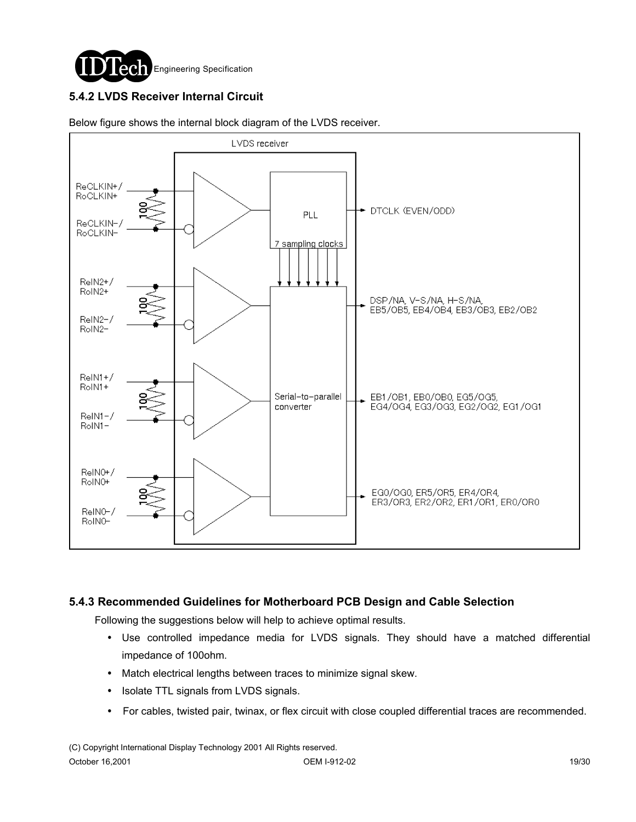

### **5.4.2 LVDS Receiver Internal Circuit**



Below figure shows the internal block diagram of the LVDS receiver.

#### **5.4.3 Recommended Guidelines for Motherboard PCB Design and Cable Selection**

Following the suggestions below will help to achieve optimal results.

- ! Use controlled impedance media for LVDS signals. They should have a matched differential impedance of 100ohm.
- ! Match electrical lengths between traces to minimize signal skew.
- Isolate TTL signals from LVDS signals.
- ! For cables, twisted pair, twinax, or flex circuit with close coupled differential traces are recommended.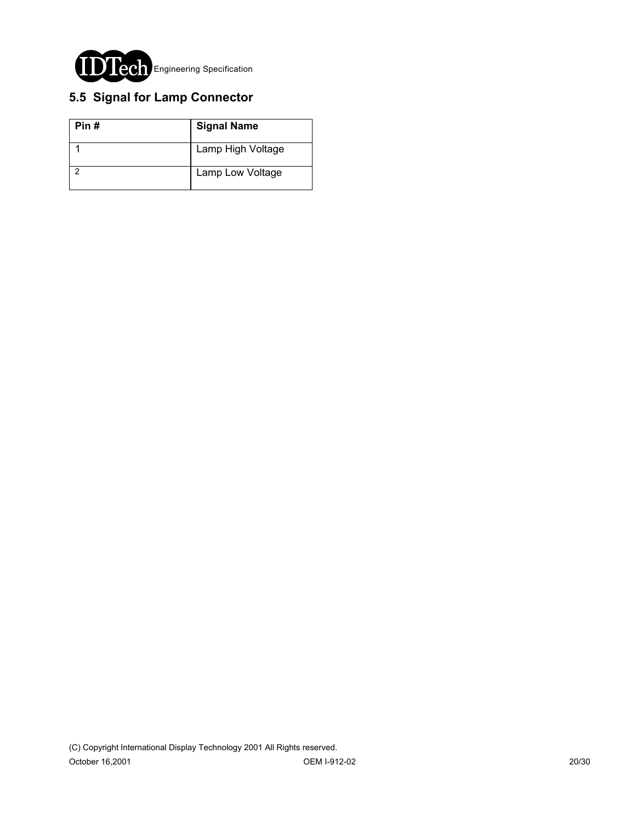

## **5.5 Signal for Lamp Connector**

| Pin# | <b>Signal Name</b> |
|------|--------------------|
|      | Lamp High Voltage  |
|      | Lamp Low Voltage   |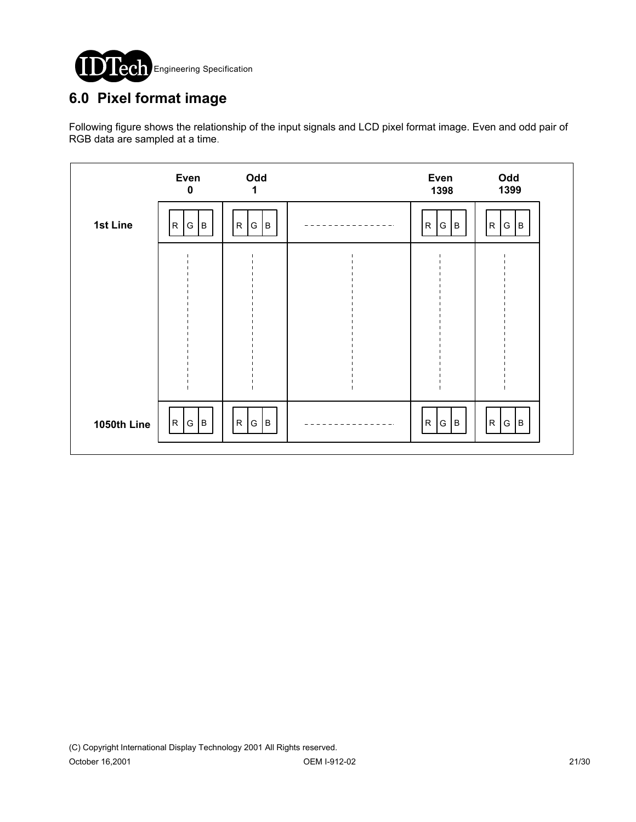

# **6.0 Pixel format image**

Following figure shows the relationship of the input signals and LCD pixel format image. Even and odd pair of RGB data are sampled at a time.

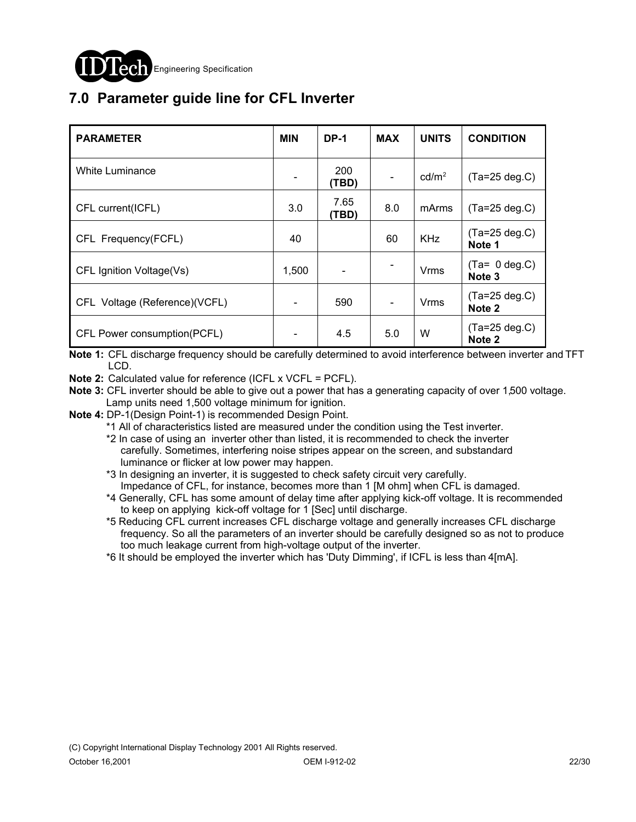

# **7.0 Parameter guide line for CFL Inverter**

| <b>PARAMETER</b>              | <b>MIN</b> | <b>DP-1</b>   | <b>MAX</b>               | <b>UNITS</b>      | <b>CONDITION</b>                             |
|-------------------------------|------------|---------------|--------------------------|-------------------|----------------------------------------------|
| White Luminance               |            | 200<br>(TBD)  | $\overline{\phantom{a}}$ | cd/m <sup>2</sup> | $(Ta=25 deg.C)$                              |
| CFL current(ICFL)             | 3.0        | 7.65<br>(TBD) | 8.0                      | mArms             | $(Ta=25 \deg.C)$                             |
| CFL Frequency(FCFL)           | 40         |               | 60                       | <b>KHz</b>        | $(Ta=25 \deg.C)$<br>Note 1                   |
| CFL Ignition Voltage(Vs)      | 1,500      |               |                          | Vrms              | $(Ta= 0 deg.C)$<br>Note <sub>3</sub>         |
| CFL Voltage (Reference)(VCFL) |            | 590           | $\overline{\phantom{a}}$ | Vrms              | $(Ta=25 \deg.C)$<br>Note 2                   |
| CFL Power consumption(PCFL)   |            | 4.5           | 5.0                      | W                 | $(Ta=25 \text{ deg.C})$<br>Note <sub>2</sub> |

**Note 1:** CFL discharge frequency should be carefully determined to avoid interference between inverter and TFT LCD.

**Note 2:** Calculated value for reference (ICFL x VCFL = PCFL).

- **Note 3:** CFL inverter should be able to give out a power that has a generating capacity of over 1,500 voltage. Lamp units need 1,500 voltage minimum for ignition.
- **Note 4:** DP-1(Design Point-1) is recommended Design Point.

\*1 All of characteristics listed are measured under the condition using the Test inverter.

- \*2 In case of using an inverter other than listed, it is recommended to check the inverter carefully. Sometimes, interfering noise stripes appear on the screen, and substandard luminance or flicker at low power may happen.
- \*3 In designing an inverter, it is suggested to check safety circuit very carefully. Impedance of CFL, for instance, becomes more than 1 [M ohm] when CFL is damaged.
- \*4 Generally, CFL has some amount of delay time after applying kick-off voltage. It is recommended to keep on applying kick-off voltage for 1 [Sec] until discharge.
- \*5 Reducing CFL current increases CFL discharge voltage and generally increases CFL discharge frequency. So all the parameters of an inverter should be carefully designed so as not to produce too much leakage current from high-voltage output of the inverter.
- \*6 It should be employed the inverter which has 'Duty Dimming', if ICFL is less than 4[mA].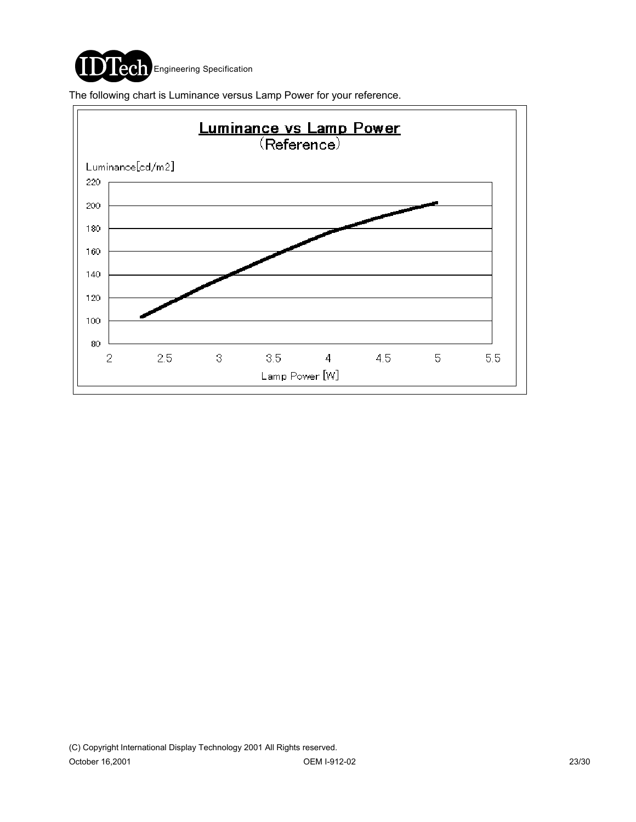

The following chart is Luminance versus Lamp Power for your reference.

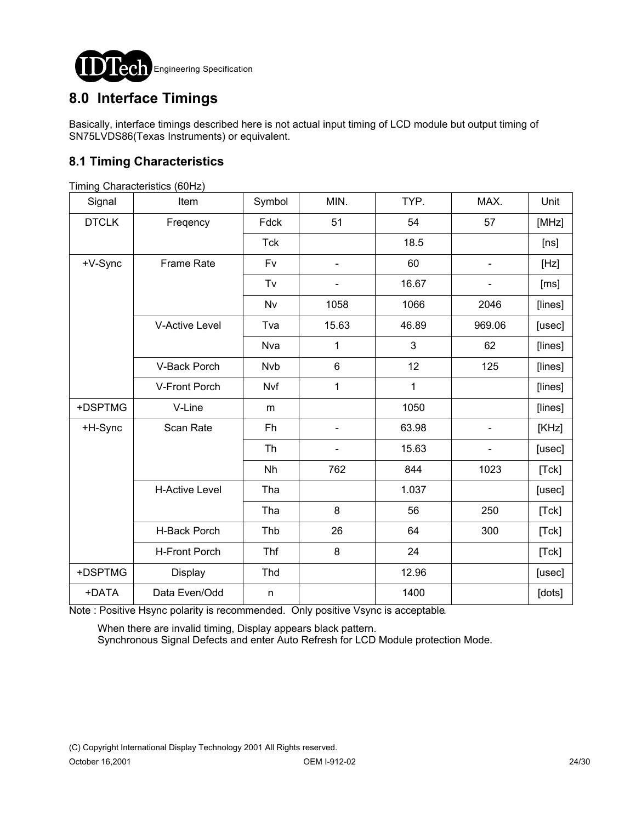

## **8.0 Interface Timings**

Basically, interface timings described here is not actual input timing of LCD module but output timing of SN75LVDS86(Texas Instruments) or equivalent.

### **8.1 Timing Characteristics**

| Signal       | $1.1.1.1.1.1$ or $2.1.2.1.0.1.0.0.00$ (0.0.1.1.4)<br>Item | Symbol     | MIN.  | TYP.  | MAX.                         | Unit                                                                                                                                                                                                                                                                            |
|--------------|-----------------------------------------------------------|------------|-------|-------|------------------------------|---------------------------------------------------------------------------------------------------------------------------------------------------------------------------------------------------------------------------------------------------------------------------------|
| <b>DTCLK</b> | Freqency                                                  | Fdck       | 51    | 54    | 57                           | [MHz]                                                                                                                                                                                                                                                                           |
|              |                                                           | <b>Tck</b> |       | 18.5  |                              | [ns]                                                                                                                                                                                                                                                                            |
| +V-Sync      | <b>Frame Rate</b>                                         | Fv         |       | 60    |                              | $[Hz] % \includegraphics[width=0.9\columnwidth]{figures/fig_2b} \caption{The average number of parameters of the parameter $\gamma$ (top) and the number of parameters of the parameter $z$ (bottom). The number of parameters $z$ (bottom) and $z$ (bottom).} \label{fig:1} %$ |
|              |                                                           | Tv         |       | 16.67 |                              | [ms]                                                                                                                                                                                                                                                                            |
|              |                                                           | <b>Nv</b>  | 1058  | 1066  | 2046                         | [lines]                                                                                                                                                                                                                                                                         |
|              | <b>V-Active Level</b>                                     | Tva        | 15.63 | 46.89 | 969.06                       | [usec]                                                                                                                                                                                                                                                                          |
|              |                                                           | Nva        | 1     | 3     | 62                           | [lines]                                                                                                                                                                                                                                                                         |
|              | V-Back Porch                                              | <b>Nvb</b> | $\,6$ | 12    | 125                          | [lines]                                                                                                                                                                                                                                                                         |
|              | V-Front Porch                                             | Nvf        | 1     | 1     |                              | [lines]                                                                                                                                                                                                                                                                         |
| +DSPTMG      | V-Line                                                    | m          |       | 1050  |                              | [lines]                                                                                                                                                                                                                                                                         |
| +H-Sync      | Scan Rate                                                 | Fh         |       | 63.98 | $\qquad \qquad \blacksquare$ | [KHz]                                                                                                                                                                                                                                                                           |
|              |                                                           | <b>Th</b>  |       | 15.63 |                              | [usec]                                                                                                                                                                                                                                                                          |
|              |                                                           | Nh         | 762   | 844   | 1023                         | [Tck]                                                                                                                                                                                                                                                                           |
|              | <b>H-Active Level</b>                                     | Tha        |       | 1.037 |                              | [usec]                                                                                                                                                                                                                                                                          |
|              |                                                           | Tha        | 8     | 56    | 250                          | [Tck]                                                                                                                                                                                                                                                                           |
|              | H-Back Porch                                              | Thb        | 26    | 64    | 300                          | [Tck]                                                                                                                                                                                                                                                                           |
|              | <b>H-Front Porch</b>                                      | Thf        | 8     | 24    |                              | [Tck]                                                                                                                                                                                                                                                                           |
| +DSPTMG      | Display                                                   | Thd        |       | 12.96 |                              | [usec]                                                                                                                                                                                                                                                                          |
| +DATA        | Data Even/Odd                                             | n          |       | 1400  |                              | [dots]                                                                                                                                                                                                                                                                          |

Timing Characteristics (60Hz)

Note : Positive Hsync polarity is recommended. Only positive Vsync is acceptable.

 When there are invalid timing, Display appears black pattern. Synchronous Signal Defects and enter Auto Refresh for LCD Module protection Mode.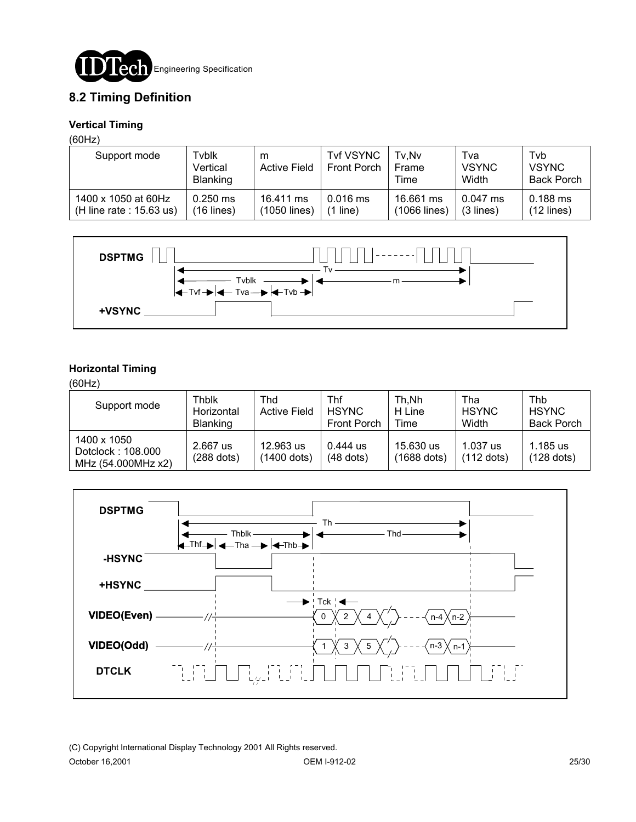

### **8.2 Timing Definition**

#### **Vertical Timing**

(60Hz)

| Support mode               | Tvblk<br>Vertical<br><b>Blanking</b> | m<br><b>Active Field</b> | <b>Tvf VSYNC</b><br><b>Front Porch</b> | Tv.Nv<br>Frame<br>Time | ™a<br><b>VSYNC</b><br>Width | Tyb<br><b>VSYNC</b><br><b>Back Porch</b> |
|----------------------------|--------------------------------------|--------------------------|----------------------------------------|------------------------|-----------------------------|------------------------------------------|
| 1400 x 1050 at 60Hz        | $0.250$ ms                           | 16.411 ms                | $0.016$ ms                             | 16.661 ms              | $0.047$ ms                  | 0.188 ms                                 |
| (H line rate : $15.63$ us) | $(16$ lines)                         | (1050 lines)             | line)                                  | (1066 lines)           | $(3$ lines)                 | $(12$ lines)                             |



#### **Horizontal Timing**

(60Hz)

| Support mode                                           | Thblk<br>Horizontal<br><b>Blanking</b> | Thd<br><b>Active Field</b> | Thf<br><b>HSYNC</b><br><b>Front Porch</b> | Th.Nh<br>H Line<br>Time  | Tha<br><b>HSYNC</b><br>Width | Thb<br><b>HSYNC</b><br><b>Back Porch</b> |
|--------------------------------------------------------|----------------------------------------|----------------------------|-------------------------------------------|--------------------------|------------------------------|------------------------------------------|
| 1400 x 1050<br>Dotclock: 108.000<br>MHz (54.000MHz x2) | 2.667 us<br>$(288$ dots)               | 12.963 us<br>(1400 dots)   | $0.444$ us<br>$(48$ dots)                 | 15.630 us<br>(1688 dots) | 1.037 us<br>$(112$ dots)     | 1.185 us<br>$(128$ dots)                 |

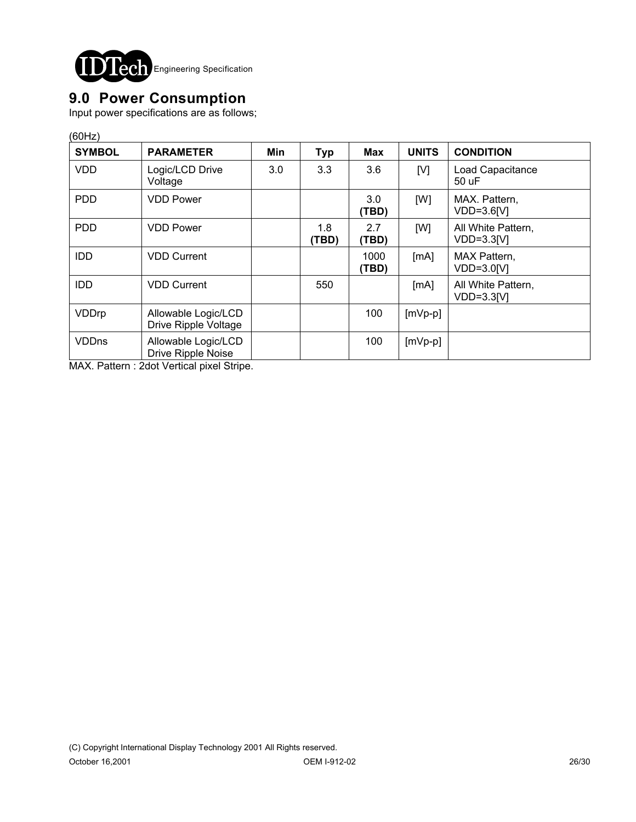

## **9.0 Power Consumption**

Input power specifications are as follows;

| <b>SYMBOL</b> | <b>PARAMETER</b>                            | Min | <b>Typ</b>   | Max           | <b>UNITS</b> | <b>CONDITION</b>                   |
|---------------|---------------------------------------------|-----|--------------|---------------|--------------|------------------------------------|
| <b>VDD</b>    | Logic/LCD Drive<br>Voltage                  | 3.0 | 3.3          | 3.6           | [V]          | Load Capacitance<br>50 uF          |
| <b>PDD</b>    | <b>VDD Power</b>                            |     |              | 3.0<br>(TBD)  | [W]          | MAX. Pattern.<br>VDD=3.6[V]        |
| <b>PDD</b>    | <b>VDD Power</b>                            |     | 1.8<br>(TBD) | 2.7<br>(TBD)  | [W]          | All White Pattern,<br>$VDD=3.3[V]$ |
| <b>IDD</b>    | <b>VDD Current</b>                          |     |              | 1000<br>(TBD) | [MA]         | MAX Pattern,<br>VDD=3.0[V]         |
| <b>IDD</b>    | <b>VDD Current</b>                          |     | 550          |               | [MA]         | All White Pattern,<br>$VDD=3.3[V]$ |
| VDDrp         | Allowable Logic/LCD<br>Drive Ripple Voltage |     |              | 100           | $[mVp-p]$    |                                    |
| <b>VDDns</b>  | Allowable Logic/LCD<br>Drive Ripple Noise   |     |              | 100           | $[mVp-p]$    |                                    |

MAX. Pattern : 2dot Vertical pixel Stripe.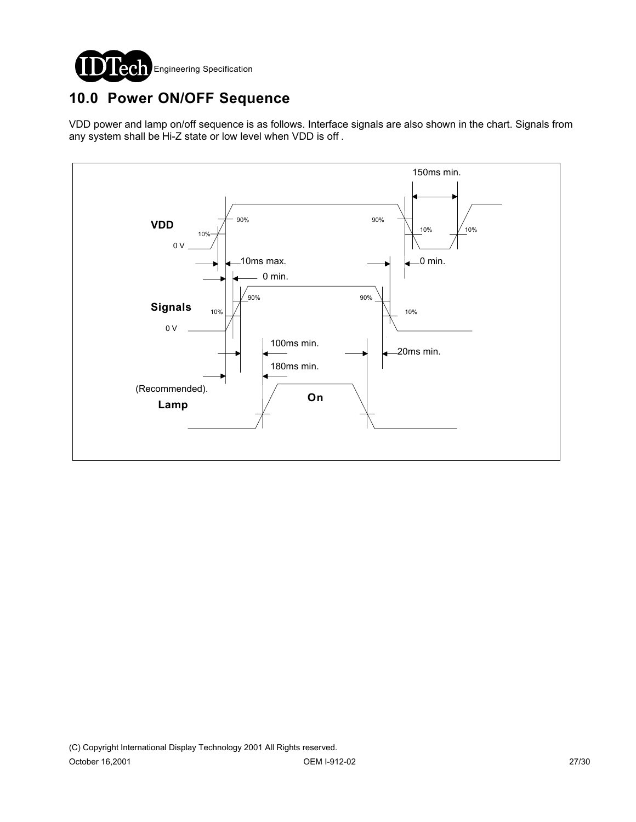

# **10.0 Power ON/OFF Sequence**

VDD power and lamp on/off sequence is as follows. Interface signals are also shown in the chart. Signals from any system shall be Hi-Z state or low level when VDD is off .

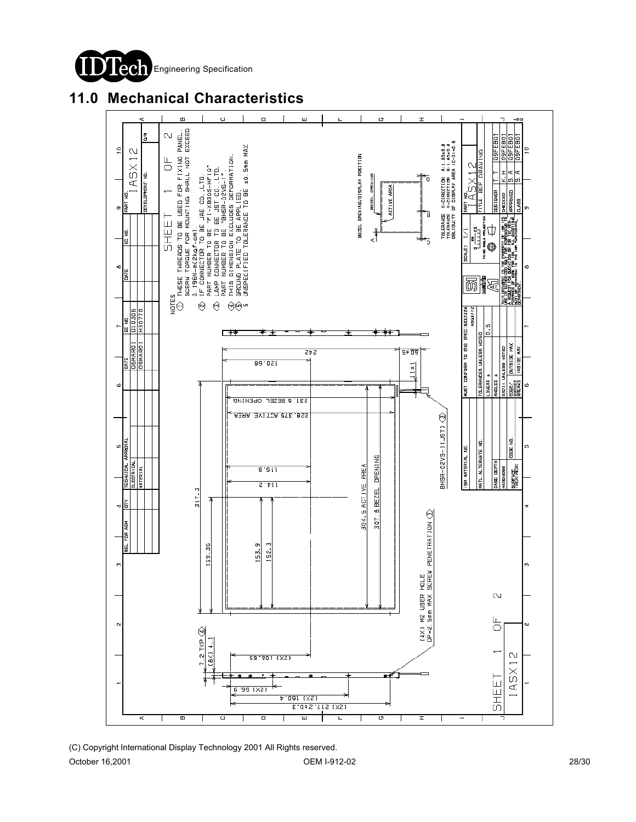

**11.0 Mechanical Characteristics**

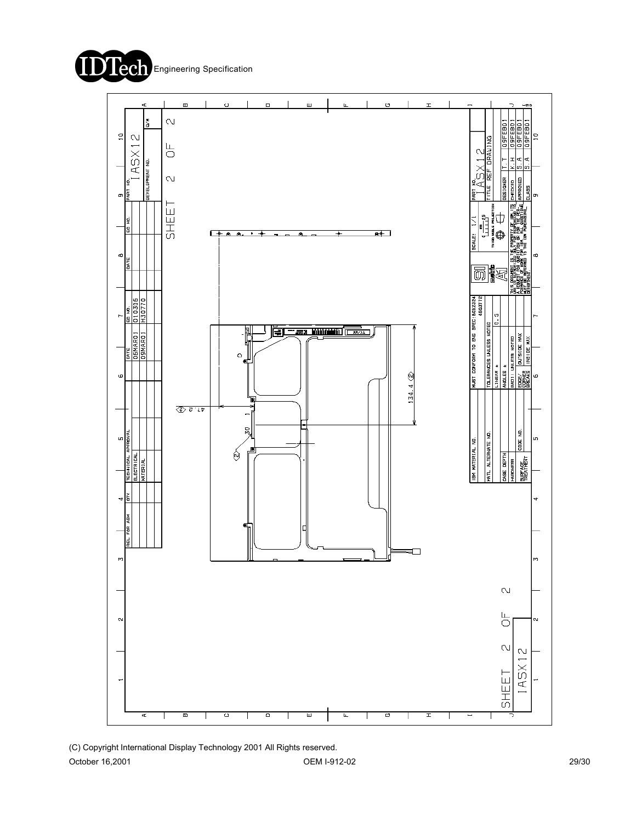



(C) Copyright International Display Technology 2001 All Rights reserved. October 16,2001 29/30